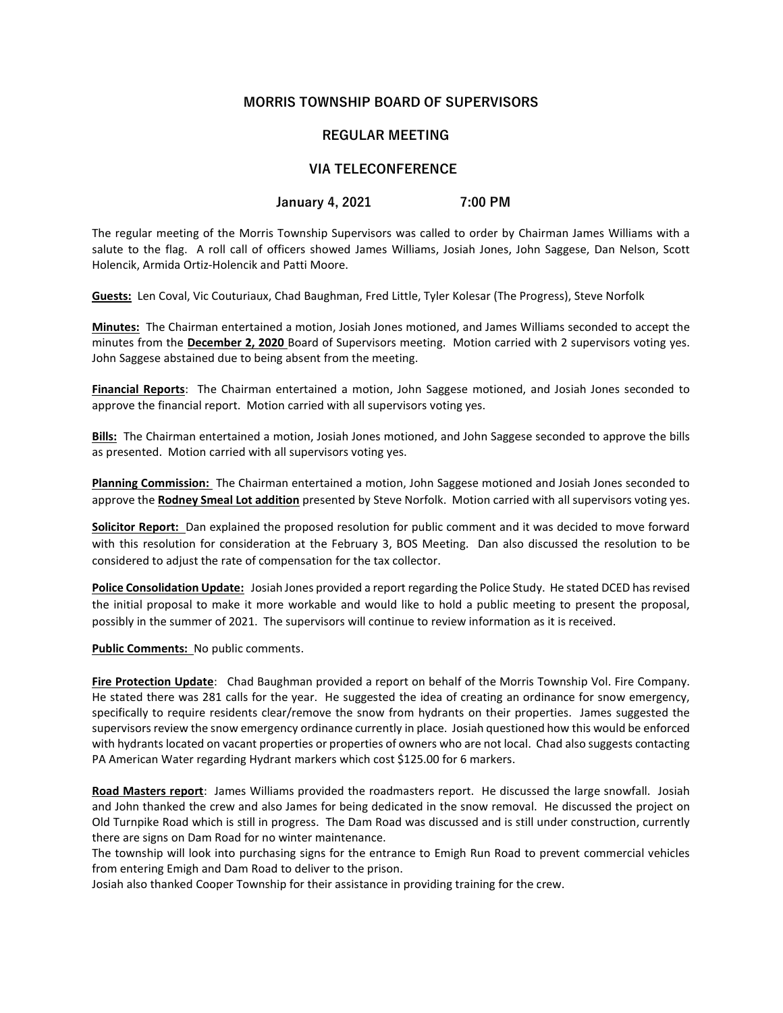## MORRIS TOWNSHIP BOARD OF SUPERVISORS

## REGULAR MEETING

## VIA TELECONFERENCE

## January 4, 2021 7:00 PM

The regular meeting of the Morris Township Supervisors was called to order by Chairman James Williams with a salute to the flag. A roll call of officers showed James Williams, Josiah Jones, John Saggese, Dan Nelson, Scott Holencik, Armida Ortiz-Holencik and Patti Moore.

Guests: Len Coval, Vic Couturiaux, Chad Baughman, Fred Little, Tyler Kolesar (The Progress), Steve Norfolk

Minutes: The Chairman entertained a motion, Josiah Jones motioned, and James Williams seconded to accept the minutes from the December 2, 2020 Board of Supervisors meeting. Motion carried with 2 supervisors voting yes. John Saggese abstained due to being absent from the meeting.

Financial Reports: The Chairman entertained a motion, John Saggese motioned, and Josiah Jones seconded to approve the financial report. Motion carried with all supervisors voting yes.

Bills: The Chairman entertained a motion, Josiah Jones motioned, and John Saggese seconded to approve the bills as presented. Motion carried with all supervisors voting yes.

Planning Commission: The Chairman entertained a motion, John Saggese motioned and Josiah Jones seconded to approve the Rodney Smeal Lot addition presented by Steve Norfolk. Motion carried with all supervisors voting yes.

Solicitor Report: Dan explained the proposed resolution for public comment and it was decided to move forward with this resolution for consideration at the February 3, BOS Meeting. Dan also discussed the resolution to be considered to adjust the rate of compensation for the tax collector.

Police Consolidation Update: Josiah Jones provided a report regarding the Police Study. He stated DCED has revised the initial proposal to make it more workable and would like to hold a public meeting to present the proposal, possibly in the summer of 2021. The supervisors will continue to review information as it is received.

Public Comments: No public comments.

Fire Protection Update: Chad Baughman provided a report on behalf of the Morris Township Vol. Fire Company. He stated there was 281 calls for the year. He suggested the idea of creating an ordinance for snow emergency, specifically to require residents clear/remove the snow from hydrants on their properties. James suggested the supervisors review the snow emergency ordinance currently in place. Josiah questioned how this would be enforced with hydrants located on vacant properties or properties of owners who are not local. Chad also suggests contacting PA American Water regarding Hydrant markers which cost \$125.00 for 6 markers.

Road Masters report: James Williams provided the roadmasters report. He discussed the large snowfall. Josiah and John thanked the crew and also James for being dedicated in the snow removal. He discussed the project on Old Turnpike Road which is still in progress. The Dam Road was discussed and is still under construction, currently there are signs on Dam Road for no winter maintenance.

The township will look into purchasing signs for the entrance to Emigh Run Road to prevent commercial vehicles from entering Emigh and Dam Road to deliver to the prison.

Josiah also thanked Cooper Township for their assistance in providing training for the crew.